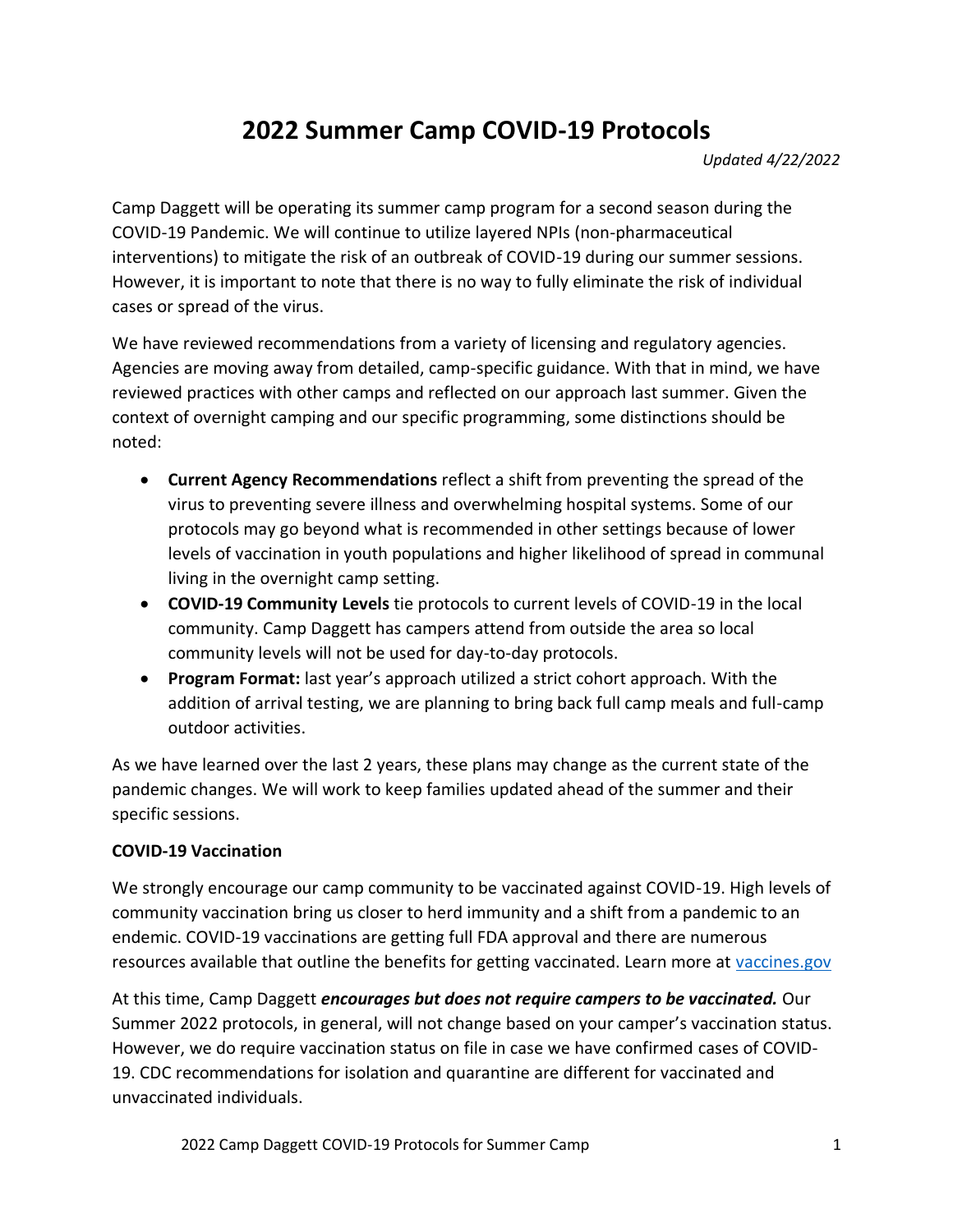# **2022 Summer Camp COVID-19 Protocols**

*Updated 4/22/2022*

Camp Daggett will be operating its summer camp program for a second season during the COVID-19 Pandemic. We will continue to utilize layered NPIs (non-pharmaceutical interventions) to mitigate the risk of an outbreak of COVID-19 during our summer sessions. However, it is important to note that there is no way to fully eliminate the risk of individual cases or spread of the virus.

We have reviewed recommendations from a variety of licensing and regulatory agencies. Agencies are moving away from detailed, camp-specific guidance. With that in mind, we have reviewed practices with other camps and reflected on our approach last summer. Given the context of overnight camping and our specific programming, some distinctions should be noted:

- **Current Agency Recommendations** reflect a shift from preventing the spread of the virus to preventing severe illness and overwhelming hospital systems. Some of our protocols may go beyond what is recommended in other settings because of lower levels of vaccination in youth populations and higher likelihood of spread in communal living in the overnight camp setting.
- **COVID-19 Community Levels** tie protocols to current levels of COVID-19 in the local community. Camp Daggett has campers attend from outside the area so local community levels will not be used for day-to-day protocols.
- **Program Format:** last year's approach utilized a strict cohort approach. With the addition of arrival testing, we are planning to bring back full camp meals and full-camp outdoor activities.

As we have learned over the last 2 years, these plans may change as the current state of the pandemic changes. We will work to keep families updated ahead of the summer and their specific sessions.

#### **COVID-19 Vaccination**

We strongly encourage our camp community to be vaccinated against COVID-19. High levels of community vaccination bring us closer to herd immunity and a shift from a pandemic to an endemic. COVID-19 vaccinations are getting full FDA approval and there are numerous resources available that outline the benefits for getting vaccinated. Learn more at [vaccines.gov](http://www.vaccines.gov/)

At this time, Camp Daggett *encourages but does not require campers to be vaccinated.* Our Summer 2022 protocols, in general, will not change based on your camper's vaccination status. However, we do require vaccination status on file in case we have confirmed cases of COVID-19. CDC recommendations for isolation and quarantine are different for vaccinated and unvaccinated individuals.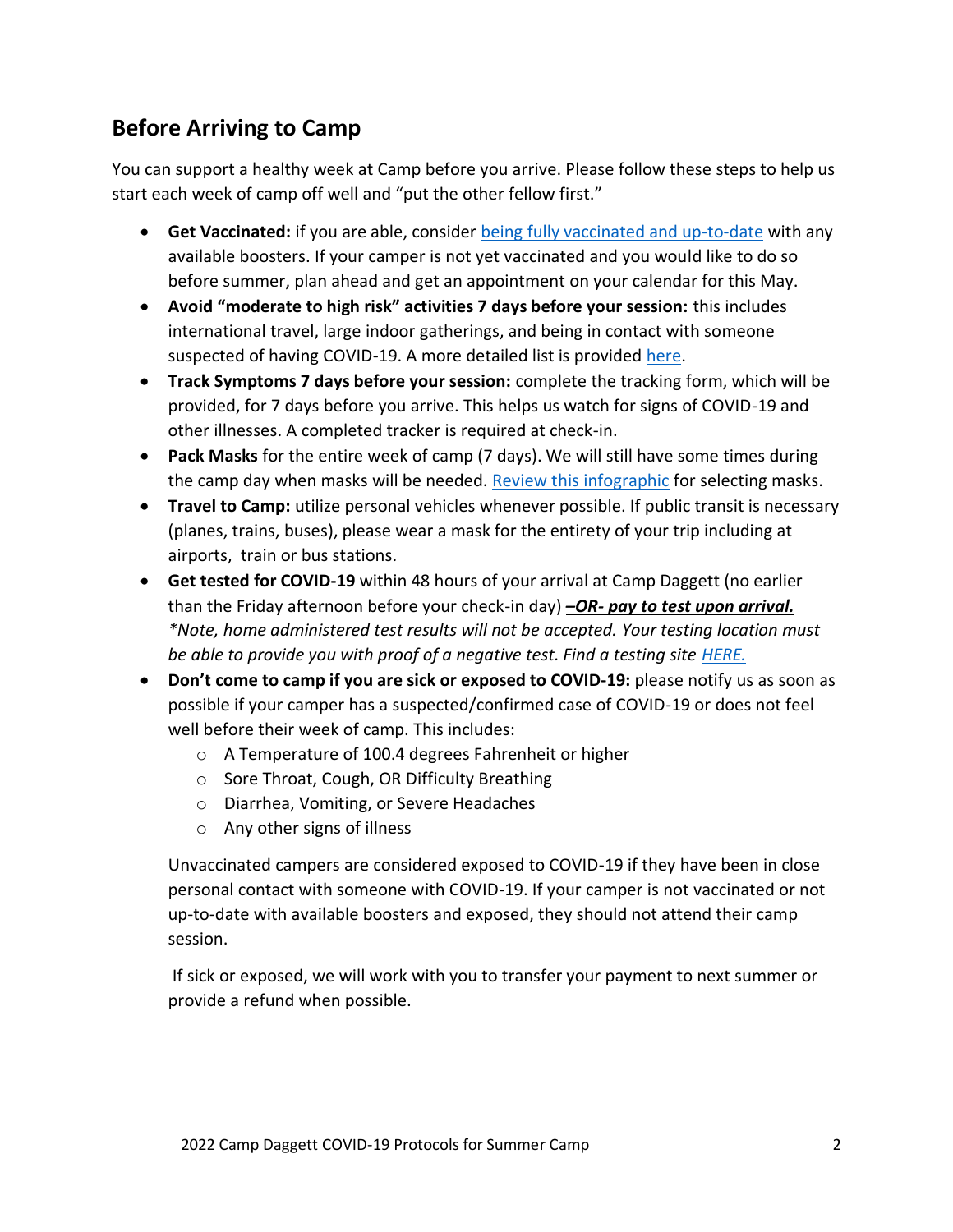## **Before Arriving to Camp**

You can support a healthy week at Camp before you arrive. Please follow these steps to help us start each week of camp off well and "put the other fellow first."

- **Get Vaccinated:** if you are able, consider [being fully vaccinated and up-to-date](http://www.vacines.gov/) with any available boosters. If your camper is not yet vaccinated and you would like to do so before summer, plan ahead and get an appointment on your calendar for this May.
- **Avoid "moderate to high risk" activities 7 days before your session:** this includes international travel, large indoor gatherings, and being in contact with someone suspected of having COVID-19. A more detailed list is provided [here.](https://healthnewshub.org/wp-content/uploads/2020/07/NewsTexasRiskAssessment-copyPDF.pdf?_ga=2.263657679.215443852.1650558201-379508186.1650558201&_gl=1*1f6f1nl*_ga*Mzc5NTA4MTg2LjE2NTA1NTgyMDE.*_ga_4604MZZMMD*MTY1MDU1ODIwMS4xLjAuMTY1MDU1ODIwMS42MA..)
- **Track Symptoms 7 days before your session:** complete the tracking form, which will be provided, for 7 days before you arrive. This helps us watch for signs of COVID-19 and other illnesses. A completed tracker is required at check-in.
- **Pack Masks** for the entire week of camp (7 days). We will still have some times during the camp day when masks will be needed. [Review this infographic](https://www.michigan.gov/images/coronavirus/Feb_2021_Mask_Up-03_717025_7.png) for selecting masks.
- **Travel to Camp:** utilize personal vehicles whenever possible. If public transit is necessary (planes, trains, buses), please wear a mask for the entirety of your trip including at airports, train or bus stations.
- **Get tested for COVID-19** within 48 hours of your arrival at Camp Daggett (no earlier than the Friday afternoon before your check-in day) *–OR- pay to test upon arrival. \*Note, home administered test results will not be accepted. Your testing location must be able to provide you with proof of a negative test. Find a testing site [HERE.](https://www.michigan.gov/coronavirustest)*
- **Don't come to camp if you are sick or exposed to COVID-19:** please notify us as soon as possible if your camper has a suspected/confirmed case of COVID-19 or does not feel well before their week of camp. This includes:
	- o A Temperature of 100.4 degrees Fahrenheit or higher
	- o Sore Throat, Cough, OR Difficulty Breathing
	- o Diarrhea, Vomiting, or Severe Headaches
	- o Any other signs of illness

Unvaccinated campers are considered exposed to COVID-19 if they have been in close personal contact with someone with COVID-19. If your camper is not vaccinated or not up-to-date with available boosters and exposed, they should not attend their camp session.

If sick or exposed, we will work with you to transfer your payment to next summer or provide a refund when possible.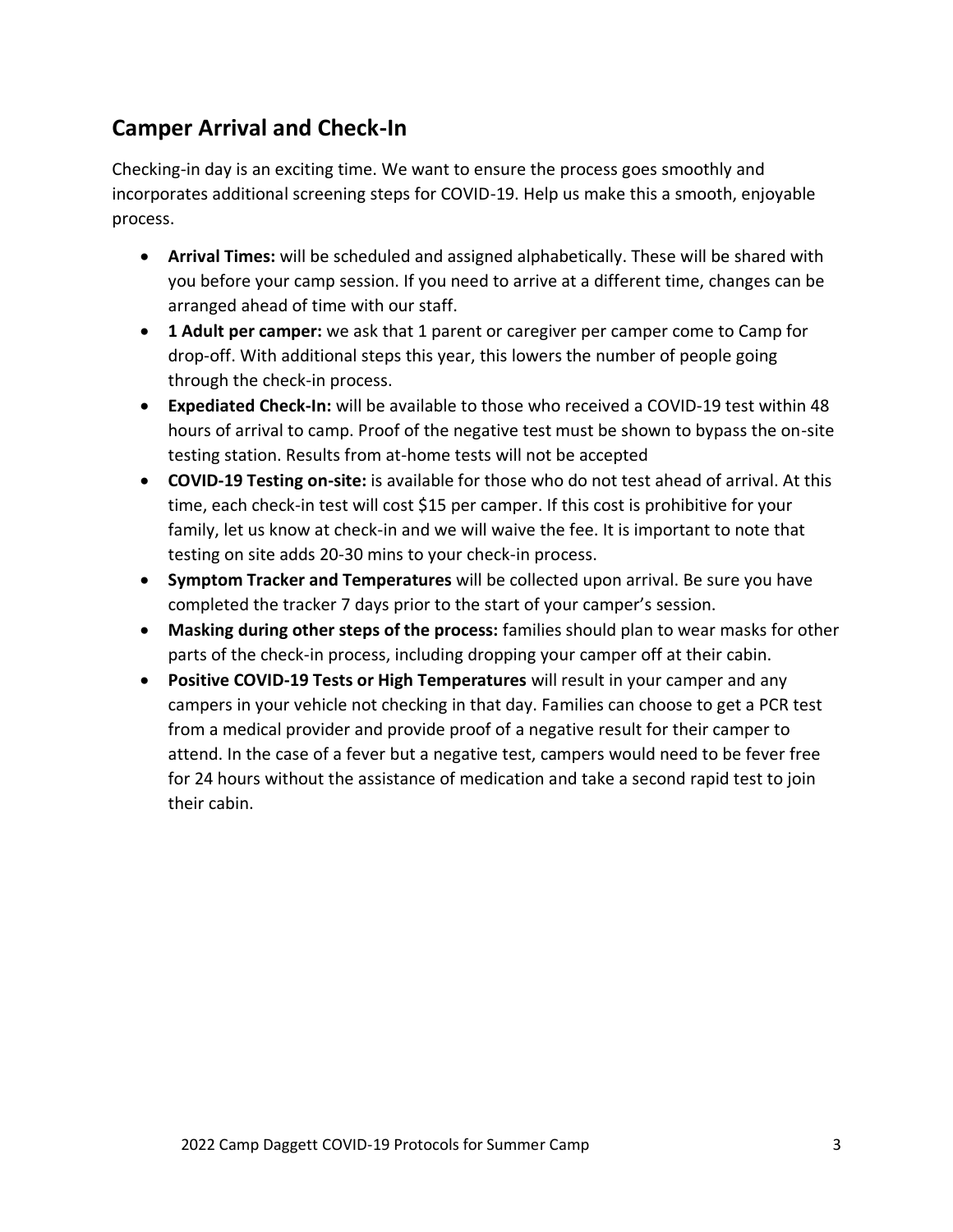### **Camper Arrival and Check-In**

Checking-in day is an exciting time. We want to ensure the process goes smoothly and incorporates additional screening steps for COVID-19. Help us make this a smooth, enjoyable process.

- **Arrival Times:** will be scheduled and assigned alphabetically. These will be shared with you before your camp session. If you need to arrive at a different time, changes can be arranged ahead of time with our staff.
- **1 Adult per camper:** we ask that 1 parent or caregiver per camper come to Camp for drop-off. With additional steps this year, this lowers the number of people going through the check-in process.
- **Expediated Check-In:** will be available to those who received a COVID-19 test within 48 hours of arrival to camp. Proof of the negative test must be shown to bypass the on-site testing station. Results from at-home tests will not be accepted
- **COVID-19 Testing on-site:** is available for those who do not test ahead of arrival. At this time, each check-in test will cost \$15 per camper. If this cost is prohibitive for your family, let us know at check-in and we will waive the fee. It is important to note that testing on site adds 20-30 mins to your check-in process.
- **Symptom Tracker and Temperatures** will be collected upon arrival. Be sure you have completed the tracker 7 days prior to the start of your camper's session.
- **Masking during other steps of the process:** families should plan to wear masks for other parts of the check-in process, including dropping your camper off at their cabin.
- **Positive COVID-19 Tests or High Temperatures** will result in your camper and any campers in your vehicle not checking in that day. Families can choose to get a PCR test from a medical provider and provide proof of a negative result for their camper to attend. In the case of a fever but a negative test, campers would need to be fever free for 24 hours without the assistance of medication and take a second rapid test to join their cabin.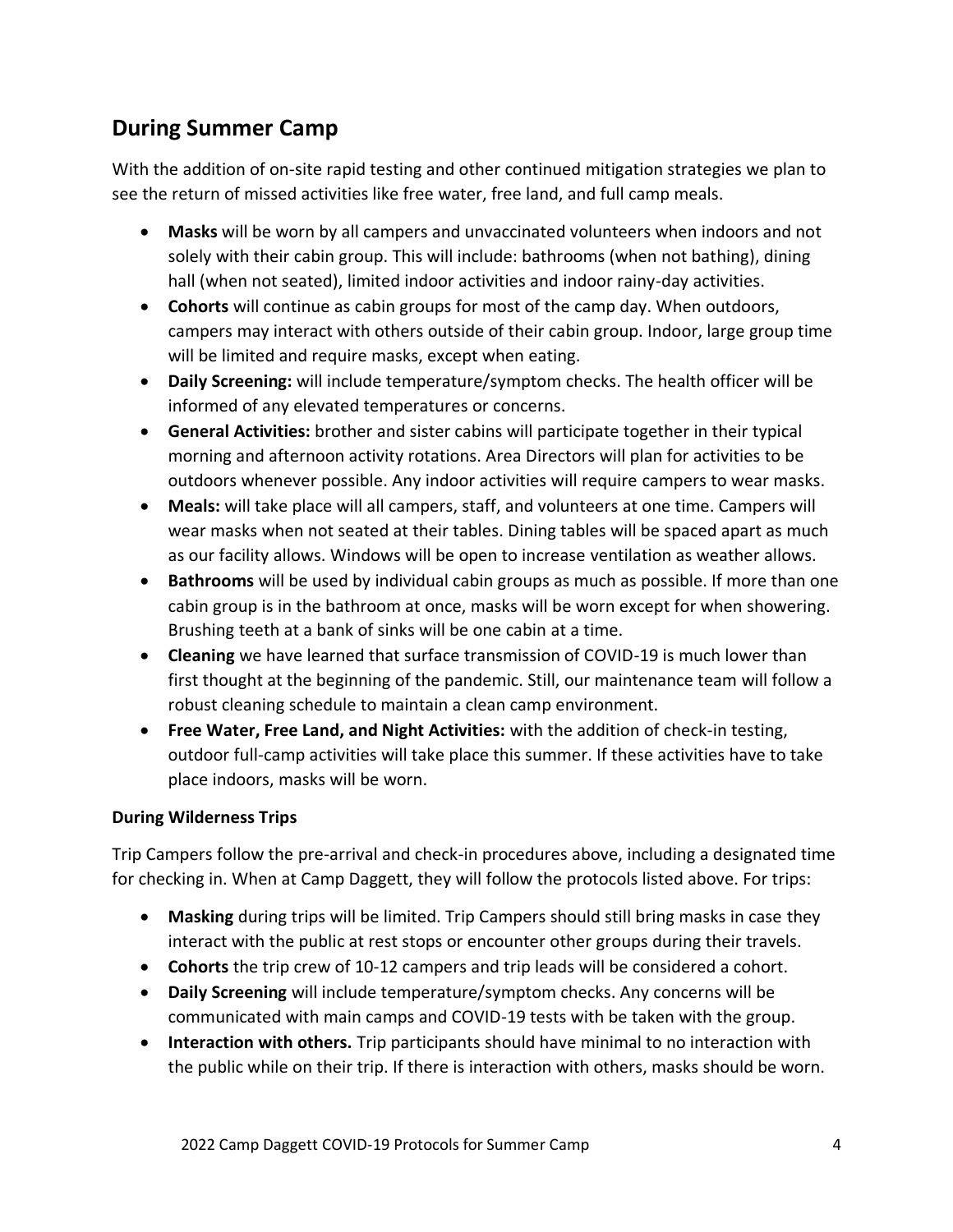# **During Summer Camp**

With the addition of on-site rapid testing and other continued mitigation strategies we plan to see the return of missed activities like free water, free land, and full camp meals.

- **Masks** will be worn by all campers and unvaccinated volunteers when indoors and not solely with their cabin group. This will include: bathrooms (when not bathing), dining hall (when not seated), limited indoor activities and indoor rainy-day activities.
- **Cohorts** will continue as cabin groups for most of the camp day. When outdoors, campers may interact with others outside of their cabin group. Indoor, large group time will be limited and require masks, except when eating.
- **Daily Screening:** will include temperature/symptom checks. The health officer will be informed of any elevated temperatures or concerns.
- **General Activities:** brother and sister cabins will participate together in their typical morning and afternoon activity rotations. Area Directors will plan for activities to be outdoors whenever possible. Any indoor activities will require campers to wear masks.
- **Meals:** will take place will all campers, staff, and volunteers at one time. Campers will wear masks when not seated at their tables. Dining tables will be spaced apart as much as our facility allows. Windows will be open to increase ventilation as weather allows.
- **Bathrooms** will be used by individual cabin groups as much as possible. If more than one cabin group is in the bathroom at once, masks will be worn except for when showering. Brushing teeth at a bank of sinks will be one cabin at a time.
- **Cleaning** we have learned that surface transmission of COVID-19 is much lower than first thought at the beginning of the pandemic. Still, our maintenance team will follow a robust cleaning schedule to maintain a clean camp environment.
- **Free Water, Free Land, and Night Activities:** with the addition of check-in testing, outdoor full-camp activities will take place this summer. If these activities have to take place indoors, masks will be worn.

#### **During Wilderness Trips**

Trip Campers follow the pre-arrival and check-in procedures above, including a designated time for checking in. When at Camp Daggett, they will follow the protocols listed above. For trips:

- **Masking** during trips will be limited. Trip Campers should still bring masks in case they interact with the public at rest stops or encounter other groups during their travels.
- **Cohorts** the trip crew of 10-12 campers and trip leads will be considered a cohort.
- **Daily Screening** will include temperature/symptom checks. Any concerns will be communicated with main camps and COVID-19 tests with be taken with the group.
- **Interaction with others.** Trip participants should have minimal to no interaction with the public while on their trip. If there is interaction with others, masks should be worn.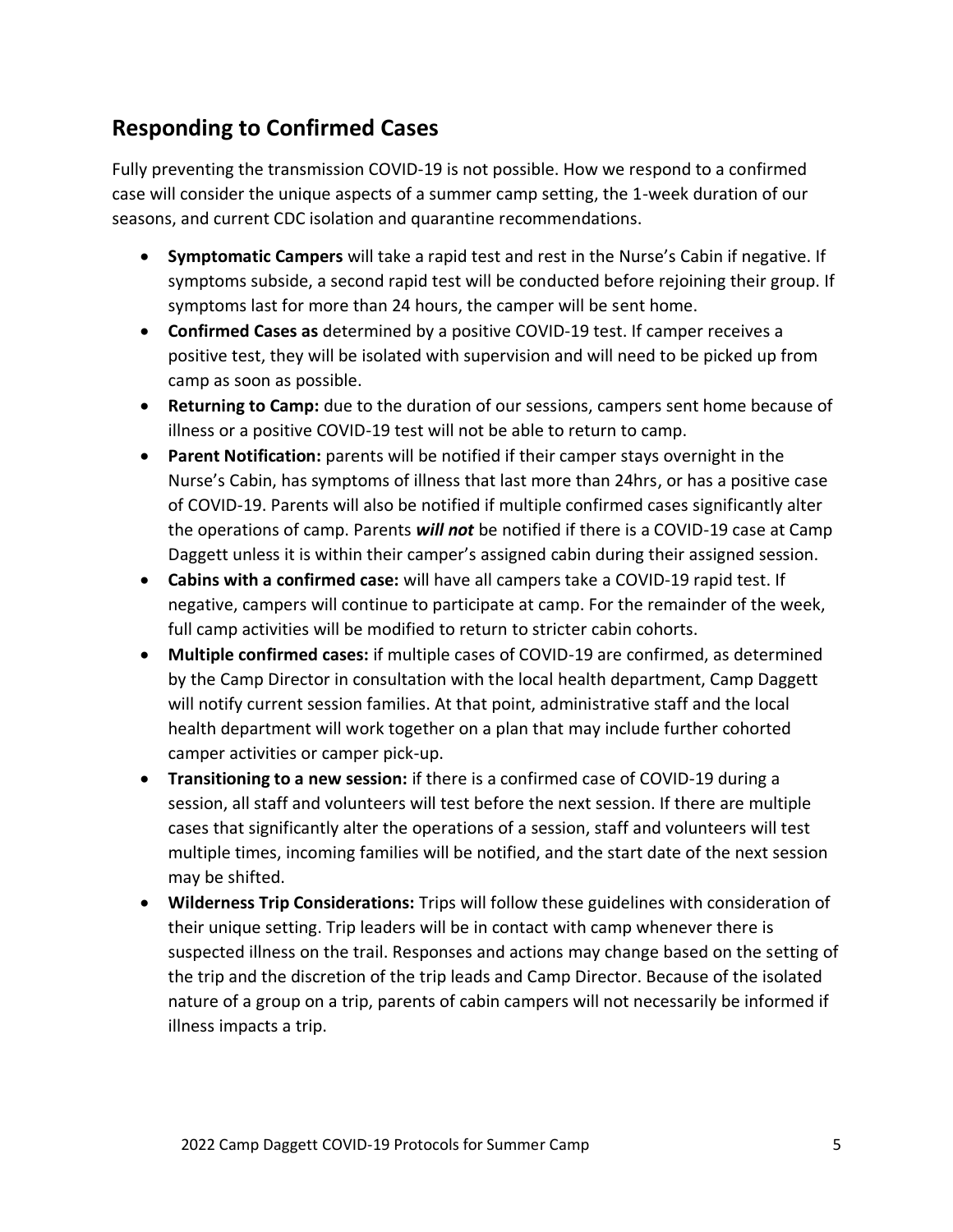# **Responding to Confirmed Cases**

Fully preventing the transmission COVID-19 is not possible. How we respond to a confirmed case will consider the unique aspects of a summer camp setting, the 1-week duration of our seasons, and current CDC isolation and quarantine recommendations.

- **Symptomatic Campers** will take a rapid test and rest in the Nurse's Cabin if negative. If symptoms subside, a second rapid test will be conducted before rejoining their group. If symptoms last for more than 24 hours, the camper will be sent home.
- **Confirmed Cases as** determined by a positive COVID-19 test. If camper receives a positive test, they will be isolated with supervision and will need to be picked up from camp as soon as possible.
- **Returning to Camp:** due to the duration of our sessions, campers sent home because of illness or a positive COVID-19 test will not be able to return to camp.
- **Parent Notification:** parents will be notified if their camper stays overnight in the Nurse's Cabin, has symptoms of illness that last more than 24hrs, or has a positive case of COVID-19. Parents will also be notified if multiple confirmed cases significantly alter the operations of camp. Parents *will not* be notified if there is a COVID-19 case at Camp Daggett unless it is within their camper's assigned cabin during their assigned session.
- **Cabins with a confirmed case:** will have all campers take a COVID-19 rapid test. If negative, campers will continue to participate at camp. For the remainder of the week, full camp activities will be modified to return to stricter cabin cohorts.
- **Multiple confirmed cases:** if multiple cases of COVID-19 are confirmed, as determined by the Camp Director in consultation with the local health department, Camp Daggett will notify current session families. At that point, administrative staff and the local health department will work together on a plan that may include further cohorted camper activities or camper pick-up.
- **Transitioning to a new session:** if there is a confirmed case of COVID-19 during a session, all staff and volunteers will test before the next session. If there are multiple cases that significantly alter the operations of a session, staff and volunteers will test multiple times, incoming families will be notified, and the start date of the next session may be shifted.
- **Wilderness Trip Considerations:** Trips will follow these guidelines with consideration of their unique setting. Trip leaders will be in contact with camp whenever there is suspected illness on the trail. Responses and actions may change based on the setting of the trip and the discretion of the trip leads and Camp Director. Because of the isolated nature of a group on a trip, parents of cabin campers will not necessarily be informed if illness impacts a trip.